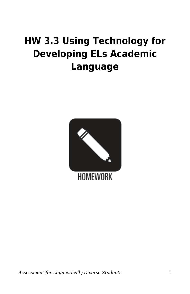## **HW 3.3 Using Technology for Developing ELs Academic Language**

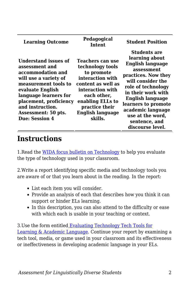| Pedagogical<br><b>Intent</b>                                                                                                                                                                                                          | <b>Student Position</b>                                                                                                                                                                                                                                                                         |
|---------------------------------------------------------------------------------------------------------------------------------------------------------------------------------------------------------------------------------------|-------------------------------------------------------------------------------------------------------------------------------------------------------------------------------------------------------------------------------------------------------------------------------------------------|
| Teachers can use<br>technology tools<br>to promote<br>interaction with<br>content as well as<br>interaction with<br>each other,<br>placement, proficiency<br>enabling ELLs to<br>practice their<br><b>English language</b><br>skills. | <b>Students are</b><br>learning about<br><b>English language</b><br>assessment<br>practices. Now they<br>will consider the<br>role of technology<br>in their work with<br>English language<br>learners to promote<br>academic language<br>use at the word,<br>sentence, and<br>discourse level. |
|                                                                                                                                                                                                                                       |                                                                                                                                                                                                                                                                                                 |

## **Instructions**

1. Read the [WIDA focus bulletin on Technology](https://byu.box.com/s/2ytkpmr19vnt4ljec4uhpckek66wqjeo) to help you evaluate the type of technology used in your classroom.

2.Write a report identifying specific media and technology tools you are aware of or that you learn about in the reading. In the report:

- List each item you will consider.
- Provide an analysis of each that describes how you think it can support or hinder ELs learning.
- In this description, you can also attend to the difficulty or ease with which each is usable in your teaching or context.

3.Use the form entitle[d Evaluating Technology Tech Tools for](https://byu.box.com/s/9dnwnm7bhs5cu7pp1vosg4kmirmsoul7) [Learning & Academic Language](https://byu.box.com/s/9dnwnm7bhs5cu7pp1vosg4kmirmsoul7). Continue your report by examining a tech tool, media, or game used in your classroom and its effectiveness or ineffectiveness in developing academic language in your ELs.